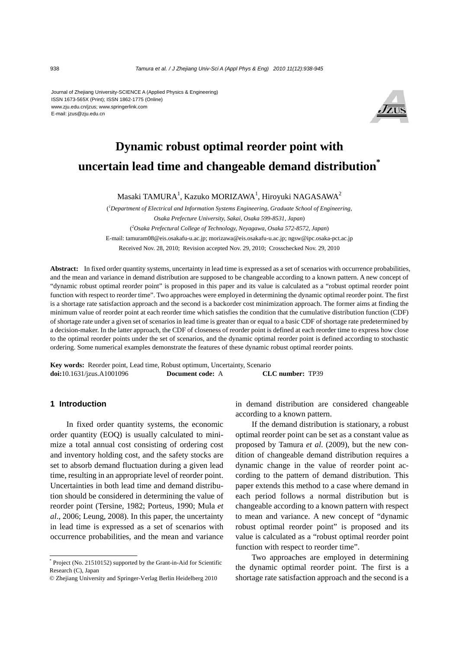Journal of Zhejiang University-SCIENCE A (Applied Physics & Engineering) ISSN 1673-565X (Print); ISSN 1862-1775 (Online) www.zju.edu.cn/jzus; www.springerlink.com E-mail: jzus@zju.edu.cn



## **Dynamic robust optimal reorder point with uncertain lead time and changeable demand distribution\***

Masaki TAMURA $^{\rm l}$ , Kazuko MORIZAWA $^{\rm l}$ , Hiroyuki NAGASAWA $^{\rm 2}$ 

( *1 Department of Electrical and Information Systems Engineering, Graduate School of Engineering, Osaka Prefecture University, Sakai, Osaka 599-8531, Japan*) ( *2 Osaka Prefectural College of Technology, Neyagawa, Osaka 572-8572, Japan*) E-mail: tamuram08@eis.osakafu-u.ac.jp; morizawa@eis.osakafu-u.ac.jp; ngsw@ipc.osaka-pct.ac.jp Received Nov. 28, 2010; Revision accepted Nov. 29, 2010; Crosschecked Nov. 29, 2010

**Abstract:** In fixed order quantity systems, uncertainty in lead time is expressed as a set of scenarios with occurrence probabilities, and the mean and variance in demand distribution are supposed to be changeable according to a known pattern. A new concept of "dynamic robust optimal reorder point" is proposed in this paper and its value is calculated as a "robust optimal reorder point function with respect to reorder time". Two approaches were employed in determining the dynamic optimal reorder point. The first is a shortage rate satisfaction approach and the second is a backorder cost minimization approach. The former aims at finding the minimum value of reorder point at each reorder time which satisfies the condition that the cumulative distribution function (CDF) of shortage rate under a given set of scenarios in lead time is greater than or equal to a basic CDF of shortage rate predetermined by a decision-maker. In the latter approach, the CDF of closeness of reorder point is defined at each reorder time to express how close to the optimal reorder points under the set of scenarios, and the dynamic optimal reorder point is defined according to stochastic ordering. Some numerical examples demonstrate the features of these dynamic robust optimal reorder points.

**Key words:** Reorder point, Lead time, Robust optimum, Uncertainty, Scenario **doi:**10.1631/jzus.A1001096 **Document code:** A **CLC number:** TP39

#### **1 Introduction**

In fixed order quantity systems, the economic order quantity (EOQ) is usually calculated to minimize a total annual cost consisting of ordering cost and inventory holding cost, and the safety stocks are set to absorb demand fluctuation during a given lead time, resulting in an appropriate level of reorder point. Uncertainties in both lead time and demand distribution should be considered in determining the value of reorder point (Tersine, 1982; Porteus, 1990; Mula *et al*., 2006; Leung, 2008). In this paper, the uncertainty in lead time is expressed as a set of scenarios with occurrence probabilities, and the mean and variance in demand distribution are considered changeable according to a known pattern.

If the demand distribution is stationary, a robust optimal reorder point can be set as a constant value as proposed by Tamura *et al*. (2009), but the new condition of changeable demand distribution requires a dynamic change in the value of reorder point according to the pattern of demand distribution. This paper extends this method to a case where demand in each period follows a normal distribution but is changeable according to a known pattern with respect to mean and variance. A new concept of "dynamic robust optimal reorder point" is proposed and its value is calculated as a "robust optimal reorder point function with respect to reorder time".

Two approaches are employed in determining the dynamic optimal reorder point. The first is a shortage rate satisfaction approach and the second is a

<sup>\*</sup> Project (No. 21510152) supported by the Grant-in-Aid for Scientific Research (C), Japan

<sup>©</sup> Zhejiang University and Springer-Verlag Berlin Heidelberg 2010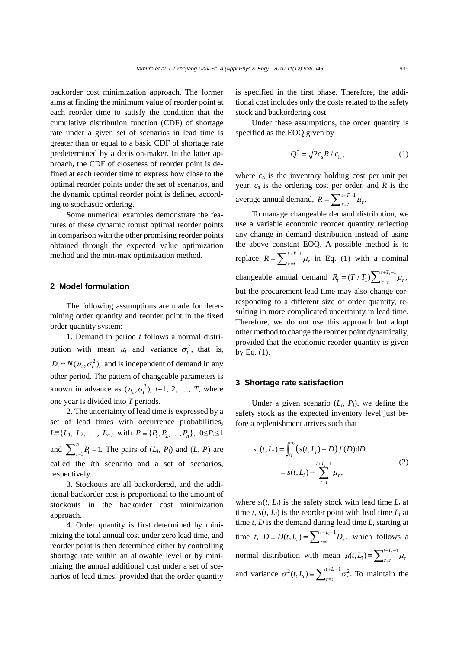backorder cost minimization approach. The former aims at finding the minimum value of reorder point at each reorder time to satisfy the condition that the cumulative distribution function (CDF) of shortage rate under a given set of scenarios in lead time is greater than or equal to a basic CDF of shortage rate predetermined by a decision-maker. In the latter approach, the CDF of closeness of reorder point is defined at each reorder time to express how close to the optimal reorder points under the set of scenarios, and the dynamic optimal reorder point is defined according to stochastic ordering.

Some numerical examples demonstrate the features of these dynamic robust optimal reorder points in comparison with the other promising reorder points obtained through the expected value optimization method and the min-max optimization method.

#### **2 Model formulation**

The following assumptions are made for determining order quantity and reorder point in the fixed order quantity system:

1. Demand in period *t* follows a normal distribution with mean  $\mu_t$  and variance  $\sigma_t^2$ , that is,  $D_t \sim N(\mu_t, \sigma_t^2)$ , and is independent of demand in any other period. The pattern of changeable parameters is known in advance as  $(\mu_t, \sigma_t^2)$ ,  $t=1, 2, ..., T$ , where one year is divided into *T* periods.

2. The uncertainty of lead time is expressed by a set of lead times with occurrence probabilities,  $L \equiv \{L_1, L_2, ..., L_n\}$  with  $P \equiv \{P_1, P_2, ..., P_n\}$ ,  $0 \le P_i \le 1$ and  $\sum_{i=1}^{n} P_i = 1$ . The pairs of  $(L_i, P_i)$  and  $(L, P)$  are called the *i*th scenario and a set of scenarios, respectively.

3. Stockouts are all backordered, and the additional backorder cost is proportional to the amount of stockouts in the backorder cost minimization approach.

4. Order quantity is first determined by minimizing the total annual cost under zero lead time, and reorder point is then determined either by controlling shortage rate within an allowable level or by minimizing the annual additional cost under a set of scenarios of lead times, provided that the order quantity is specified in the first phase. Therefore, the additional cost includes only the costs related to the safety stock and backordering cost.

Under these assumptions, the order quantity is specified as the EOQ given by

$$
Q^* = \sqrt{2c_s R / c_h},\tag{1}
$$

where  $c_h$  is the inventory holding cost per unit per year, *c*s is the ordering cost per order, and *R* is the average annual demand,  $R = \sum_{\tau=t}^{t+T-1} \mu_{\tau}$ .

To manage changeable demand distribution, we use a variable economic reorder quantity reflecting any change in demand distribution instead of using the above constant EOQ. A possible method is to replace  $R = \sum_{\tau=t}^{t+T-1} \mu_{\tau}$  in Eq. (1) with a nominal changeable annual demand  $R_t = (T / T_1) \sum_{\tau=t}^{t+T_1-1} \mu_{\tau}$ , but the procurement lead time may also change corresponding to a different size of order quantity, resulting in more complicated uncertainty in lead time. Therefore, we do not use this approach but adopt other method to change the reorder point dynamically, provided that the economic reorder quantity is given by Eq. (1).

#### **3 Shortage rate satisfaction**

Under a given scenario  $(L_i, P_i)$ , we define the safety stock as the expected inventory level just before a replenishment arrives such that

$$
s_{f}(t, L_{i}) = \int_{0}^{\infty} (s(t, L_{i}) - D) f(D) dD
$$
  
=  $s(t, L_{i}) - \sum_{\tau=t}^{t+L_{i}-1} \mu_{\tau},$  (2)

where  $s_f(t, L_i)$  is the safety stock with lead time  $L_i$  at time *t*,  $s(t, L_i)$  is the reorder point with lead time  $L_i$  at time  $t$ ,  $D$  is the demand during lead time  $L_i$  starting at time *t*,  $D \equiv D(t, L_i) = \sum_{\tau=t}^{t+L_i-1} D_{\tau}$ , which follows a normal distribution with mean  $\mu(t, L_i) = \sum_{r=t}^{t+L_i-1} \mu_t$ and variance  $\sigma^2(t, L_i) = \sum_{\tau=t}^{t+L_i-1} \sigma_\tau^2$ . To maintain the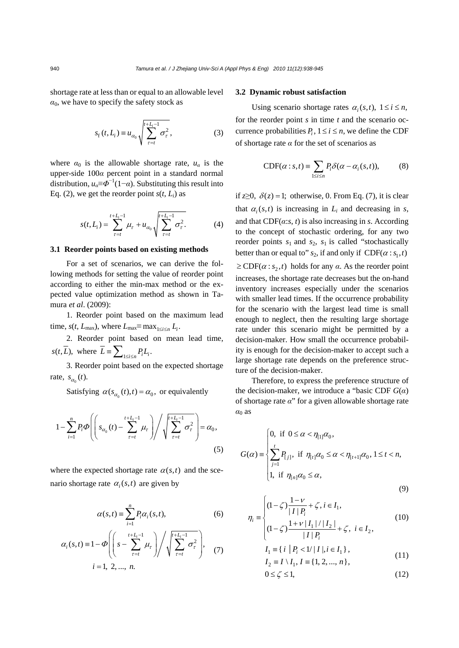shortage rate at less than or equal to an allowable level  $a_0$ , we have to specify the safety stock as

$$
s_{\rm f}(t, L_{\rm i}) = u_{\alpha_0} \sqrt{\sum_{\tau=t}^{t+L_{\rm i}-1} \sigma_{\tau}^2}, \tag{3}
$$

where  $\alpha_0$  is the allowable shortage rate,  $u_\alpha$  is the upper-side 100*α* percent point in a standard normal distribution,  $u_a \equiv \Phi^{-1}(1-\alpha)$ . Substituting this result into Eq. (2), we get the reorder point  $s(t, L_i)$  as

$$
s(t, L_i) = \sum_{\tau=t}^{t+L_i-1} \mu_{\tau} + u_{\alpha_0} \sqrt{\sum_{\tau=t}^{t+L_i-1} \sigma_{\tau}^2}.
$$
 (4)

#### **3.1 Reorder points based on existing methods**

For a set of scenarios, we can derive the following methods for setting the value of reorder point according to either the min-max method or the expected value optimization method as shown in Tamura *et al*. (2009):

1. Reorder point based on the maximum lead time,  $s(t, L_{\text{max}})$ , where  $L_{\text{max}} \equiv \max_{1 \le i \le n} L_i$ .

2. Reorder point based on mean lead time,  $s(t, \overline{L})$ , where  $\overline{L} = \sum_{1 \le i \le n} P_i L_i$ .

3. Reorder point based on the expected shortage rate,  $s_{\alpha_0}(t)$ .

Satisfying  $\alpha(s_{\alpha_0}(t), t) = \alpha_0$ , or equivalently

$$
1 - \sum_{i=1}^{n} P_{i} \varPhi \left( \left( s_{\alpha_{0}}(t) - \sum_{\tau=t}^{t+L_{i}-1} \mu_{\tau} \right) \middle/ \sqrt{\sum_{\tau=t}^{t+L_{i}-1} \sigma_{\tau}^{2}} \right) = \alpha_{0},
$$
\n(5)

where the expected shortage rate  $\alpha(s, t)$  and the scenario shortage rate  $\alpha_i(s,t)$  are given by

$$
\alpha(s,t) \equiv \sum_{i=1}^{n} P_i \alpha_i(s,t), \qquad (6)
$$

$$
\alpha_i(s,t) = 1 - \Phi\left( \left( s - \sum_{\tau=t}^{t+L_i-1} \mu_{\tau} \right) \middle/ \sqrt{\sum_{\tau=t}^{t+L_i-1} \sigma_{\tau}^2} \right), \quad (7)
$$
  
  $i = 1, 2, ..., n.$ 

#### **3.2 Dynamic robust satisfaction**

Using scenario shortage rates  $\alpha_i(s,t)$ ,  $1 \le i \le n$ , for the reorder point *s* in time *t* and the scenario occurrence probabilities  $P_i$ ,  $1 \le i \le n$ , we define the CDF of shortage rate  $\alpha$  for the set of scenarios as

$$
\text{CDF}(\alpha: s, t) \equiv \sum_{1 \le i \le n} P_i \delta(\alpha - \alpha_i(s, t)), \tag{8}
$$

if  $z \ge 0$ ,  $\delta(z) = 1$ ; otherwise, 0. From Eq. (7), it is clear that  $\alpha_i$  (*s*,*t*) is increasing in *L<sub>i</sub>* and decreasing in *s*, and that  $CDF(\alpha:s, t)$  is also increasing in *s*. According to the concept of stochastic ordering, for any two reorder points  $s_1$  and  $s_2$ ,  $s_1$  is called "stochastically better than or equal to"  $s_2$ , if and only if  $CDF(\alpha : s_1, t)$  $\geq$  CDF( $\alpha$  :  $s_2$ , $t$ ) holds for any  $\alpha$ . As the reorder point increases, the shortage rate decreases but the on-hand inventory increases especially under the scenarios with smaller lead times. If the occurrence probability for the scenario with the largest lead time is small enough to neglect, then the resulting large shortage rate under this scenario might be permitted by a decision-maker. How small the occurrence probability is enough for the decision-maker to accept such a large shortage rate depends on the preference structure of the decision-maker.

Therefore, to express the preference structure of the decision-maker, we introduce a "basic CDF  $G(\alpha)$ of shortage rate *α*" for a given allowable shortage rate  $\alpha_0$  as

$$
G(\alpha) = \begin{cases} 0, & \text{if } 0 \le \alpha < \eta_{[1]} \alpha_0, \\ \sum_{j=1}^t P_{[j]}, & \text{if } \eta_{[t]} \alpha_0 \le \alpha < \eta_{[t+1]} \alpha_0, 1 \le t < n, \\ 1, & \text{if } \eta_{[n]} \alpha_0 \le \alpha, \end{cases}
$$
(9)

$$
\eta_i = \begin{cases} (1 - \zeta) \frac{1 - \nu}{|I| P_i} + \zeta, i \in I_1, \\ (1 - \zeta) \frac{1 + \nu |I_1| / |I_2|}{|I| P_i} + \zeta, i \in I_2, \end{cases}
$$
(10)

$$
I_1 = \{ i \mid P_i < 1 / | I |, i \in I_1 \},
$$
\n
$$
I_2 = I \setminus I_1, I = \{ 1, 2, \dots, n \},
$$
\n
$$
(11)
$$

$$
0 \le \zeta \le 1,\tag{12}
$$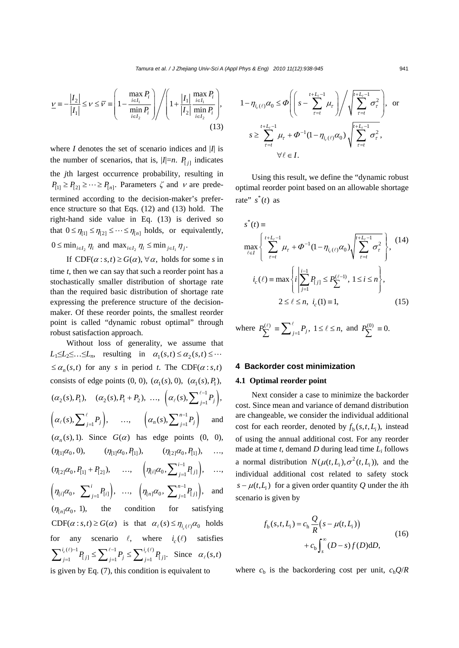*Tamura et al. / J Zhejiang Univ-Sci A (Appl Phys & Eng) 2010 11(12):938-945* 941

$$
\underline{\nu} \equiv -\frac{|I_2|}{|I_1|} \le \nu \le \overline{\nu} \equiv \left(1 - \frac{\max\limits_{i \in I_1} P_i}{\min\limits_{i \in I_2} P_i}\right) / \left(1 + \frac{|I_1|}{|I_2|} \frac{\max\limits_{i \in I_1} P_i}{\min\limits_{i \in I_2} P_i}\right),\tag{13}
$$

where *I* denotes the set of scenario indices and |*I*| is the number of scenarios, that is,  $|I|=n$ .  $P_{[I]}$  indicates the *j*th largest occurrence probability, resulting in  $P_{[1]} \ge P_{[2]} \ge \cdots \ge P_{[n]}$ . Parameters  $\zeta$  and  $\nu$  are predetermined according to the decision-maker's preference structure so that Eqs. (12) and (13) hold. The right-hand side value in Eq. (13) is derived so that  $0 \le \eta_{[1]} \le \eta_{[2]} \le \cdots \le \eta_{[n]}$  holds, or equivalently,  $0 \le \min_{i \in I_2} \eta_i$  and  $\max_{i \in I_2} \eta_i \le \min_{i \in I_1} \eta_i$ .

If  $CDF(\alpha : s, t) \ge G(\alpha)$ ,  $\forall \alpha$ , holds for some *s* in time *t*, then we can say that such a reorder point has a stochastically smaller distribution of shortage rate than the required basic distribution of shortage rate expressing the preference structure of the decisionmaker. Of these reorder points, the smallest reorder point is called "dynamic robust optimal" through robust satisfaction approach.

Without loss of generality, we assume that  $L_1 \le L_2 \le \ldots \le L_n$ , resulting in  $\alpha_1(s,t) \le \alpha_2(s,t) \le \ldots$  $\leq \alpha_n(s,t)$  for any *s* in period *t*. The CDF( $\alpha$ : *s*,*t*) consists of edge points (0, 0),  $(\alpha_1(s), 0)$ ,  $(\alpha_1(s), P_1)$ ,  $(\alpha_2(s), P_1), \quad (\alpha_2(s), P_1 + P_2), \quad \dots, \quad \left(\alpha_\ell(s), \sum_{j=1}^{\ell-1} P_j\right),$  $\ell$  $\left( \alpha_{\ell}(s), \sum_{j=1}^{\ell} P_j \right), \quad \dots, \quad \left( \alpha_n(s), \sum_{j=1}^{n-1} P_j \right) \quad \text{and}$  $(\alpha_n(s),1)$ . Since  $G(\alpha)$  has edge points (0, 0),  $(\eta_{11}\alpha_0, 0), \qquad (\eta_{11}\alpha_0, P_{11}), \qquad (\eta_{12}\alpha_0, P_{11}), \qquad \dots,$  $(\eta_{[2]} \alpha_0, P_{[1]} + P_{[2]}), \quad \dots, \quad \left( \eta_{[i]} \alpha_0, \sum_{j=1}^{i-1} P_{[j]} \right), \quad \dots,$  $\Big(\eta_{[i]}\alpha_{0},\ \sum_{j=1}^{i}P_{[i]}\Big),\ \ \dots,\ \ \Big(\eta_{[n]}\alpha_{0},\ \sum_{j=1}^{n-1}P_{[j]}\Big),\ \ \text{ and }$  $(\eta_{n} \alpha_0, 1)$ , the condition for satisfying  $CDF(\alpha : s, t) \ge G(\alpha)$  is that  $\alpha_{\ell}(s) \le \eta_{i_{c}(\ell)} \alpha_{0}$  holds for any scenario  $\ell$ , where  $i_c(\ell)$  satisfies  $\sum_{j=1}^{i_c(\ell)-1} P_{[j]} \le \sum_{j=1}^{\ell-1} P_j \le \sum_{j=1}^{i_c(\ell)} P_{[j]}$ . Since  $\alpha_{\ell}(s,t)$ is given by Eq. (7), this condition is equivalent to

$$
1 - \eta_{i_c(\ell)}\alpha_0 \le \Phi\left(\left(s - \sum_{\tau=t}^{t+L_{\ell}-1} \mu_{\tau}\right) \middle/ \sqrt{\sum_{\tau=t}^{t+L_{\ell}-1} \sigma_{\tau}^2}\right), \text{ or}
$$
  

$$
s \ge \sum_{\tau=t}^{t+L_{\ell}-1} \mu_{\tau} + \Phi^{-1}(1 - \eta_{i_c(\ell)}\alpha_0) \sqrt{\sum_{\tau=t}^{t+L_{\ell}-1} \sigma_{\tau}^2},
$$
  

$$
\forall \ell \in I.
$$

Using this result, we define the "dynamic robust optimal reorder point based on an allowable shortage rate"  $s^*(t)$  as

$$
s^{*}(t) = \max_{\ell \in I} \left\{ \sum_{\tau=t}^{t+L_{\ell}-1} \mu_{\tau} + \Phi^{-1}(1-\eta_{i_{c}(\ell)}\alpha_{0}) \sqrt{\sum_{\tau=t}^{t+L_{\ell}-1} \sigma_{\tau}^{2}} \right\}, \quad (14)
$$

$$
i_{c}(\ell) = \max \left\{ i \left| \sum_{j=1}^{i-1} P_{[j]} \le P_{\sum_{j=1}^{(\ell-1)}}(1 \le i \le n) \right\}, \quad 2 \le \ell \le n, \ i_{c}(1) = 1, \quad (15)
$$

where  $P_{\sum}^{(\ell)} \equiv \sum_{j=1}^{\ell} P_j$ ,  $1 \le \ell \le n$ , and  $P_{\sum}^{(0)} \equiv 0$ .

### **4 Backorder cost minimization**

#### **4.1 Optimal reorder point**

Next consider a case to minimize the backorder cost. Since mean and variance of demand distribution are changeable, we consider the individual additional cost for each reorder, denoted by  $f<sub>b</sub>(s,t,L<sub>i</sub>)$ , instead of using the annual additional cost. For any reorder made at time *t*, demand *D* during lead time *Li* follows a normal distribution  $N(\mu(t, L_i), \sigma^2(t, L_i))$ , and the individual additional cost related to safety stock  $(s - \mu(t, L_i)$  for a given order quantity Q under the *i*th scenario is given by

$$
f_{\mathbf{b}}(s,t,L_i) = c_{\mathbf{h}} \frac{Q}{R} \left( s - \mu(t,L_i) \right)
$$
  
+ 
$$
c_{\mathbf{b}} \int_{s}^{\infty} (D - s) f(D) \mathrm{d}D,
$$
 (16)

where  $c<sub>b</sub>$  is the backordering cost per unit,  $c<sub>h</sub>Q/R$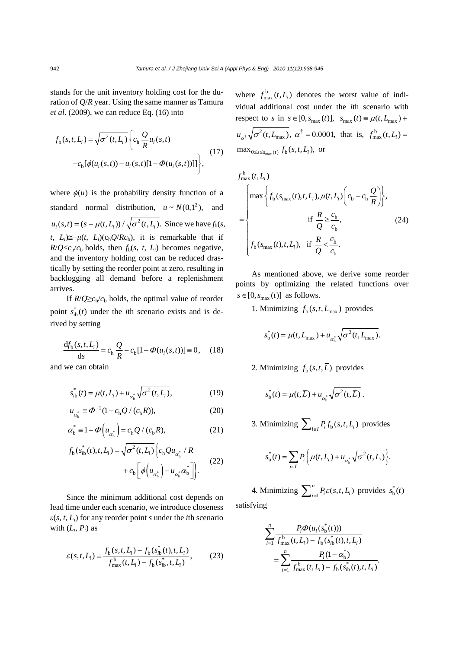stands for the unit inventory holding cost for the duration of *Q*/*R* year. Using the same manner as Tamura *et al.* (2009), we can reduce Eq. (16) into

$$
f_{\mathbf{b}}(s,t,L_{i}) = \sqrt{\sigma^{2}(t,L_{i})} \left\{ c_{\mathbf{h}} \frac{Q}{R} u_{i}(s,t) + c_{\mathbf{b}} [\phi(u_{i}(s,t)) - u_{i}(s,t)][1 - \phi(u_{i}(s,t))]] \right\},
$$
\n(17)

where  $\phi(u)$  is the probability density function of a standard normal distribution,  $u \sim N(0,1^2)$ , and  $u_i(s,t) = (s - \mu(t, L_i)) / \sqrt{\sigma^2(t, L_i)}$ . Since we have  $f_b(s, t)$ *t*,  $L_i$ )≅− $\mu$ (*t*,  $L_i$ )( $c_h$  $Q/Rc_b$ ), it is remarkable that if  $R/Q < c_h/c_b$  holds, then  $f_b(s, t, L_i)$  becomes negative, and the inventory holding cost can be reduced drastically by setting the reorder point at zero, resulting in backlogging all demand before a replenishment arrives.

If  $R/Q \geq c_h/c_b$  holds, the optimal value of reorder point  $s_{ib}^*(t)$  under the *i*th scenario exists and is derived by setting

$$
\frac{df_b(s,t,L_i)}{ds} = c_h \frac{Q}{R} - c_b [1 - \Phi(u_i(s,t))] = 0, \quad (18)
$$

and we can obtain

$$
s_{ib}^*(t) = \mu(t, L_i) + u_{\alpha_b^*} \sqrt{\sigma^2(t, L_i)},
$$
\n(19)

$$
u_{\alpha_b^*} \equiv \Phi^{-1}(1 - c_h Q / (c_b R)), \tag{20}
$$

$$
\alpha_{\rm b}^* = 1 - \Phi\left(u_{\alpha_{\rm b}^*}\right) = c_{\rm h} Q / (c_{\rm b} R),\tag{21}
$$

$$
f_{\rm b}(s_{\rm ib}^*(t), t, L_i) = \sqrt{\sigma^2(t, L_i)} \left\{ c_{\rm h} Q u_{\alpha_{\rm b}^*} / R + c_{\rm b} \left[ \phi \left( u_{\alpha_{\rm b}^*} \right) - u_{\alpha_{\rm b}^*} \alpha_{\rm b}^* \right] \right\}.
$$
 (22)

Since the minimum additional cost depends on lead time under each scenario, we introduce closeness  $\varepsilon$ (*s*, *t*, *L<sub>i</sub>*) for any reorder point *s* under the *i*th scenario with  $(L_i, P_i)$  as

$$
\varepsilon(s, t, L_i) \equiv \frac{f_{\rm b}(s, t, L_i) - f_{\rm b}(s_{\rm fb}^*(t), t, L_i)}{f_{\rm max}^{\rm b}(t, L_i) - f_{\rm b}(s_{\rm fb}^*, t, L_i)},\tag{23}
$$

where  $f_{\text{max}}^b(t, L_i)$  denotes the worst value of individual additional cost under the *i*th scenario with respect to *s* in  $s \in [0, s_{\max}(t)], s_{\max}(t) \equiv \mu(t, L_{\max}) +$  $u_{\alpha^{\dagger}} \sqrt{\sigma^2 (t, L_{\text{max}})}$ ,  $\alpha^{\dagger} = 0.0001$ , that is,  $f_{\text{max}}^b (t, L_i) =$  $\max_{0 \le s \le s_{\text{max}}(t)} f_{b}(s, t, L_{i}),$  or

$$
f_{\max}^{b}(t, L_{i})
$$
\n
$$
= \begin{cases}\n\max \left\{ f_{b}(s_{\max}(t), t, L_{i}), \mu(t, L_{i}) \left( c_{b} - c_{h} \frac{Q}{R} \right) \right\}, \\
\text{if } \frac{R}{Q} \ge \frac{c_{h}}{c_{b}}, \\
f_{b}(s_{\max}(t), t, L_{i}), \text{ if } \frac{R}{Q} < \frac{c_{h}}{c_{b}}.\n\end{cases}
$$
\n(24)

As mentioned above, we derive some reorder points by optimizing the related functions over  $s \in [0, s_{\max}(t)]$  as follows.

1. Minimizing  $f_b(s, t, L_{\text{max}})$  provides

$$
s_{\rm b}^*(t) = \mu(t, L_{\rm max}) + u_{\alpha_{\rm b}^*} \sqrt{\sigma^2(t, L_{\rm max})}.
$$

2. Minimizing  $f<sub>b</sub>(s,t,\overline{L})$  provides

$$
s_{\rm b}^*(t) = \mu(t,\overline{L}) + u_{\alpha_{\rm b}^*} \sqrt{\sigma^2(t,\overline{L})} \ .
$$

3. Minimizing  $\sum_{i \in I} P_i f_b(s, t, L_i)$  provides

$$
s_{\rm b}^*(t) = \sum_{i \in I} P_i \left\{ \mu(t, L_i) + u_{\alpha_{\rm b}^*} \sqrt{\sigma^2(t, L_i)} \right\}.
$$

4. Minimizing  $\sum_{i=1}^{n} P_i \varepsilon(s, t, L_i)$  provides  $s_b^*(t)$ satisfying

$$
\sum_{i=1}^{n} \frac{P_i \Phi(u_i(s_{\mathbf{b}}^*(t)))}{f_{\max}^{\mathbf{b}}(t, L_i) - f_{\mathbf{b}}(s_{\mathbf{a}\mathbf{b}}^*(t), t, L_i)}
$$
  
= 
$$
\sum_{i=1}^{n} \frac{P_i (1 - \alpha_{\mathbf{b}}^*)}{f_{\max}^{\mathbf{b}}(t, L_i) - f_{\mathbf{b}}(s_{\mathbf{a}\mathbf{b}}^*(t), t, L_i)}
$$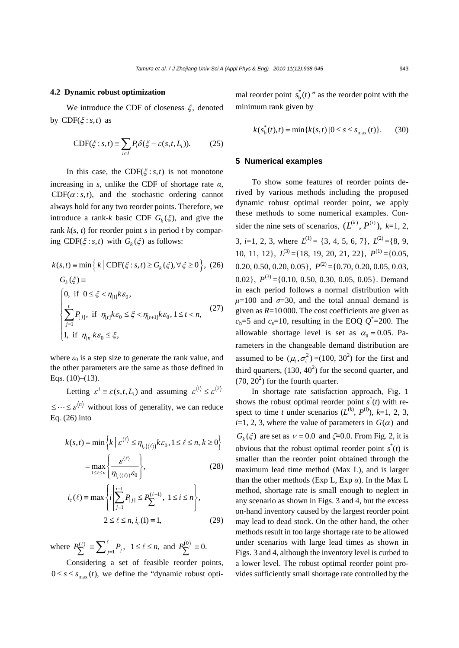#### **4.2 Dynamic robust optimization**

We introduce the CDF of closeness  $\xi$ , denoted by  $CDF(\xi : s, t)$  as

$$
\text{CDF}(\xi: s, t) \equiv \sum_{i \in I} P_i \delta(\xi - \varepsilon(s, t, L_i)). \tag{25}
$$

In this case, the CDF( $\xi$ : s, t) is not monotone increasing in *s*, unlike the CDF of shortage rate *α*,  $CDF(\alpha: s, t)$ , and the stochastic ordering cannot always hold for any two reorder points. Therefore, we introduce a rank-*k* basic CDF  $G_k(\xi)$ , and give the rank *k*(*s*, *t*) for reorder point *s* in period *t* by comparing CDF( $\xi$ : *s*,*t*) with  $G_k(\xi)$  as follows:

$$
k(s,t) \equiv \min\left\{ k \mid \text{CDF}(\xi: s,t) \ge G_k(\xi), \forall \xi \ge 0 \right\}, (26)
$$
  
\n
$$
G_k(\xi) \equiv
$$
  
\n
$$
\begin{cases}\n0, \text{ if } 0 \le \xi < \eta_{[1]} k\varepsilon_0, \\
\sum_{j=1}^t P_{[j]}, \text{ if } \eta_{[t]} k\varepsilon_0 \le \xi < \eta_{[t+1]} k\varepsilon_0, 1 \le t < n,\n\end{cases}
$$
\n
$$
(27)
$$
  
\n1, if  $\eta_{[n]} k\varepsilon_0 \le \xi$ ,

where  $\varepsilon_0$  is a step size to generate the rank value, and the other parameters are the same as those defined in Eqs.  $(10)–(13)$ .

Letting  $\varepsilon^i \equiv \varepsilon(s, t, L_i)$  and assuming  $\varepsilon^{(1)} \le \varepsilon^{(2)}$ 

 $\leq \cdots \leq \varepsilon^{n}$  without loss of generality, we can reduce Eq. (26) into

$$
k(s,t) = \min \left\{ k \mid \varepsilon^{\langle \ell \rangle} \le \eta_{i_c(\langle \ell \rangle)} k \varepsilon_0, 1 \le \ell \le n, k \ge 0 \right\}
$$
  
= 
$$
\max \left\{ \varepsilon^{\langle \ell \rangle} \right\}
$$
 (28)

$$
= \max_{1 \leq \ell \leq n} \left\{ \frac{\varepsilon^{\langle \ell \rangle}}{\eta_{i_c(\langle \ell \rangle)} \varepsilon_0} \right\},\tag{28}
$$

$$
i_c(\ell) \equiv \max \left\{ i \left| \sum_{j=1}^{i-1} P_{[j]} \le P_{\sum}^{(\ell-1)}, 1 \le i \le n \right\},\right. \\
2 \le \ell \le n, i_c(1) \equiv 1,
$$
\n(29)

where  $P_{\sum}^{(\ell)} \equiv \sum_{j=1}^{\ell} P_j$ ,  $1 \le \ell \le n$ , and  $P_{\sum}^{(0)} \equiv 0$ .

Considering a set of feasible reorder points,  $0 \le s \le s_{\text{max}}(t)$ , we define the "dynamic robust opti-

mal reorder point  $s_b^*(t)$  " as the reorder point with the minimum rank given by

$$
k(s_{\text{b}}^{*}(t), t) = \min\{k(s, t) | 0 \le s \le s_{\max}(t)\}. \tag{30}
$$

#### **5 Numerical examples**

To show some features of reorder points derived by various methods including the proposed dynamic robust optimal reorder point, we apply these methods to some numerical examples. Consider the nine sets of scenarios,  $(L^{(k)}, P^{(i)})$ ,  $k=1, 2$ , 3, *i*=1, 2, 3, where  $L^{(1)} = \{3, 4, 5, 6, 7\}, L^{(2)} = \{8, 9, 9\}$ 10, 11, 12},  $L^{(3)} = \{18, 19, 20, 21, 22\}, P^{(1)} = \{0.05,$ 0.20, 0.50, 0.20, 0.05},  $P^{(2)} = \{0.70, 0.20, 0.05, 0.03,$ 0.02},  $P^{(3)} = \{0.10, 0.50, 0.30, 0.05, 0.05\}$ . Demand in each period follows a normal distribution with  $\mu$ =100 and  $\sigma$ =30, and the total annual demand is given as *R*=10 000. The cost coefficients are given as  $c_h$ =5 and  $c_s$ =10, resulting in the EOQ  $Q^*$ =200. The allowable shortage level is set as  $\alpha_0 = 0.05$ . Parameters in the changeable demand distribution are assumed to be  $(\mu_t, \sigma_t^2) = (100, 30^2)$  for the first and third quarters,  $(130, 40^2)$  for the second quarter, and  $(70, 20^2)$  for the fourth quarter.

In shortage rate satisfaction approach, Fig. 1 shows the robust optimal reorder point  $s^*(t)$  with respect to time *t* under scenarios  $(L^{(k)}, P^{(i)})$ ,  $k=1, 2, 3$ , *i*=1, 2, 3, where the value of parameters in  $G(\alpha)$  and  $G_k(\xi)$  are set as  $v = 0.0$  and  $\zeta = 0.0$ . From Fig. 2, it is obvious that the robust optimal reorder point  $s^*(t)$  is smaller than the reorder point obtained through the maximum lead time method (Max L), and is larger than the other methods (Exp L, Exp  $\alpha$ ). In the Max L method, shortage rate is small enough to neglect in any scenario as shown in Figs. 3 and 4, but the excess on-hand inventory caused by the largest reorder point may lead to dead stock. On the other hand, the other methods result in too large shortage rate to be allowed under scenarios with large lead times as shown in Figs. 3 and 4, although the inventory level is curbed to a lower level. The robust optimal reorder point provides sufficiently small shortage rate controlled by the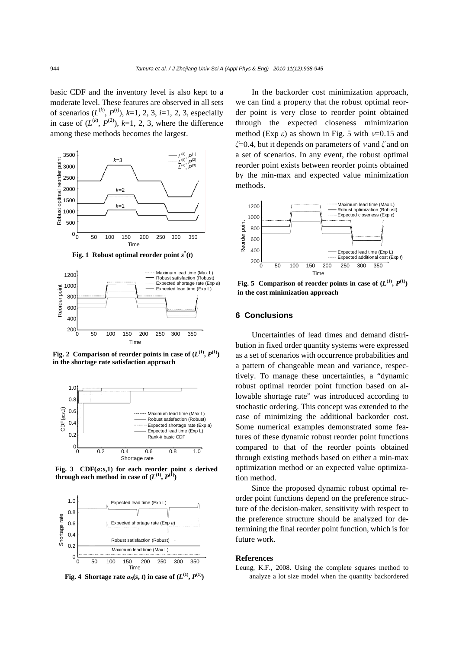basic CDF and the inventory level is also kept to a moderate level. These features are observed in all sets of scenarios  $(L^{(k)}, P^{(i)})$ ,  $k=1, 2, 3, i=1, 2, 3$ , especially in case of  $(L^{(k)}, P^{(2)})$ ,  $k=1, 2, 3$ , where the difference among these methods becomes the largest.





**Fig. 2 Comparison of reorder points in case of**  $(L^{(1)}, P^{(1)})$ **in the shortage rate satisfaction approach** 



**Fig. 3 CDF(***α***:***s***,1) for each reorder point** *s* **derived through each method in case of**  $(L^{(1)}, P^{(1)})$ 



**Fig. 4** Shortage rate  $a_5(s, t)$  in case of  $(L^{(1)}, P^{(1)})$ 

In the backorder cost minimization approach, we can find a property that the robust optimal reorder point is very close to reorder point obtained through the expected closeness minimization method (Exp  $\varepsilon$ ) as shown in Fig. 5 with  $v=0.15$  and *ζ*=0.4, but it depends on parameters of ν and *ζ* and on a set of scenarios. In any event, the robust optimal reorder point exists between reorder points obtained by the min-max and expected value minimization methods.



**Fig. 5 Comparison of reorder points in case of**  $(L^{(1)}, P^{(1)})$ **in the cost minimization approach** 

#### **6 Conclusions**

Uncertainties of lead times and demand distribution in fixed order quantity systems were expressed as a set of scenarios with occurrence probabilities and a pattern of changeable mean and variance, respectively. To manage these uncertainties, a "dynamic robust optimal reorder point function based on allowable shortage rate" was introduced according to stochastic ordering. This concept was extended to the case of minimizing the additional backorder cost. Some numerical examples demonstrated some features of these dynamic robust reorder point functions compared to that of the reorder points obtained through existing methods based on either a min-max optimization method or an expected value optimization method.

Since the proposed dynamic robust optimal reorder point functions depend on the preference structure of the decision-maker, sensitivity with respect to the preference structure should be analyzed for determining the final reorder point function, which is for future work.

#### **References**

Leung, K.F., 2008. Using the complete squares method to analyze a lot size model when the quantity backordered